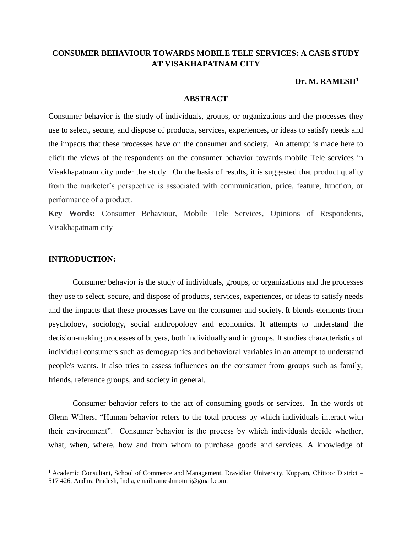# **CONSUMER BEHAVIOUR TOWARDS MOBILE TELE SERVICES: A CASE STUDY AT VISAKHAPATNAM CITY**

# **Dr. M. RAMESH<sup>1</sup>**

#### **ABSTRACT**

Consumer behavior is the study of individuals, groups, or organizations and the processes they use to select, secure, and dispose of products, services, experiences, or ideas to satisfy needs and the impacts that these processes have on the consumer and society. An attempt is made here to elicit the views of the respondents on the consumer behavior towards mobile Tele services in Visakhapatnam city under the study. On the basis of results, it is suggested that product quality from the marketer's perspective is associated with communication, price, feature, function, or performance of a product.

**Key Words:** Consumer Behaviour, Mobile Tele Services, Opinions of Respondents, Visakhapatnam city

# **INTRODUCTION:**

 $\overline{\phantom{a}}$ 

Consumer behavior is the study of individuals, groups, or organizations and the processes they use to select, secure, and dispose of products, services, experiences, or ideas to satisfy needs and the impacts that these processes have on the consumer and society. It blends elements from psychology, sociology, social anthropology and economics. It attempts to understand the decision-making processes of buyers, both individually and in groups. It studies characteristics of individual consumers such as demographics and behavioral variables in an attempt to understand people's wants. It also tries to assess influences on the consumer from groups such as family, friends, reference groups, and society in general.

Consumer behavior refers to the act of consuming goods or services. In the words of Glenn Wilters, "Human behavior refers to the total process by which individuals interact with their environment". Consumer behavior is the process by which individuals decide whether, what, when, where, how and from whom to purchase goods and services. A knowledge of

<sup>&</sup>lt;sup>1</sup> Academic Consultant, School of Commerce and Management, Dravidian University, Kuppam, Chittoor District – 517 426, Andhra Pradesh, India, email:rameshmoturi@gmail.com.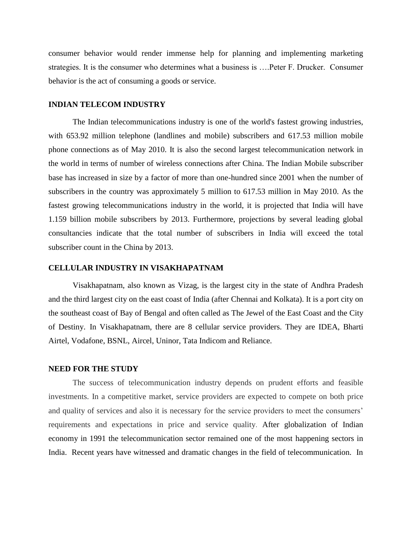consumer behavior would render immense help for planning and implementing marketing strategies. It is the consumer who determines what a business is ….Peter F. Drucker. Consumer behavior is the act of consuming a goods or service.

#### **INDIAN TELECOM INDUSTRY**

The Indian telecommunications industry is one of the world's fastest growing industries, with 653.92 million telephone (landlines and mobile) subscribers and 617.53 million mobile phone connections as of May 2010. It is also the second largest telecommunication network in the world in terms of number of wireless connections after China. The Indian Mobile subscriber base has increased in size by a factor of more than one-hundred since 2001 when the number of subscribers in the country was approximately 5 million to 617.53 million in May 2010. As the fastest growing telecommunications industry in the world, it is projected that India will have 1.159 billion mobile subscribers by 2013. Furthermore, projections by several leading global consultancies indicate that the total number of subscribers in India will exceed the total subscriber count in the China by 2013.

# **CELLULAR INDUSTRY IN VISAKHAPATNAM**

Visakhapatnam, also known as Vizag, is the largest city in the state of [Andhra Pradesh](http://en.wikipedia.org/wiki/Andhra_Pradesh) and the third largest city on the east coast of India (after [Chennai](http://en.wikipedia.org/wiki/Chennai) and [Kolkata\)](http://en.wikipedia.org/wiki/Kolkata). It is a port city on the southeast coast of [Bay of Bengal](http://en.wikipedia.org/wiki/Bay_of_Bengal) and often called as The Jewel of the East Coast and the City of Destiny. In Visakhapatnam, there are 8 cellular service providers. They are IDEA, Bharti Airtel, Vodafone, BSNL, Aircel, Uninor, Tata Indicom and Reliance.

#### **NEED FOR THE STUDY**

The success of telecommunication industry depends on prudent efforts and feasible investments. In a competitive market, service providers are expected to compete on both price and quality of services and also it is necessary for the service providers to meet the consumers' requirements and expectations in price and service quality. After globalization of Indian economy in 1991 the telecommunication sector remained one of the most happening sectors in India. Recent years have witnessed and dramatic changes in the field of telecommunication. In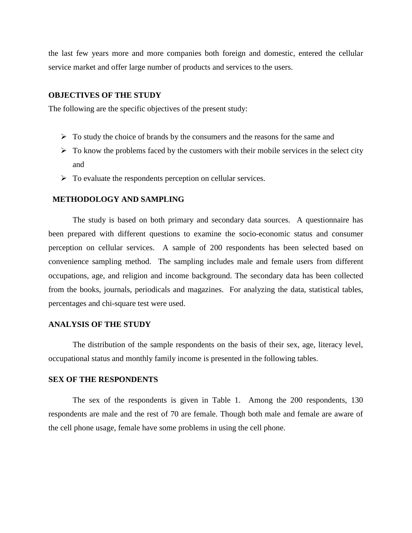the last few years more and more companies both foreign and domestic, entered the cellular service market and offer large number of products and services to the users.

#### **OBJECTIVES OF THE STUDY**

The following are the specific objectives of the present study:

- $\triangleright$  To study the choice of brands by the consumers and the reasons for the same and
- $\triangleright$  To know the problems faced by the customers with their mobile services in the select city and
- $\triangleright$  To evaluate the respondents perception on cellular services.

#### **METHODOLOGY AND SAMPLING**

The study is based on both primary and secondary data sources. A questionnaire has been prepared with different questions to examine the socio-economic status and consumer perception on cellular services. A sample of 200 respondents has been selected based on convenience sampling method. The sampling includes male and female users from different occupations, age, and religion and income background. The secondary data has been collected from the books, journals, periodicals and magazines. For analyzing the data, statistical tables, percentages and chi-square test were used.

#### **ANALYSIS OF THE STUDY**

The distribution of the sample respondents on the basis of their sex, age, literacy level, occupational status and monthly family income is presented in the following tables.

#### **SEX OF THE RESPONDENTS**

The sex of the respondents is given in Table 1. Among the 200 respondents, 130 respondents are male and the rest of 70 are female. Though both male and female are aware of the cell phone usage, female have some problems in using the cell phone.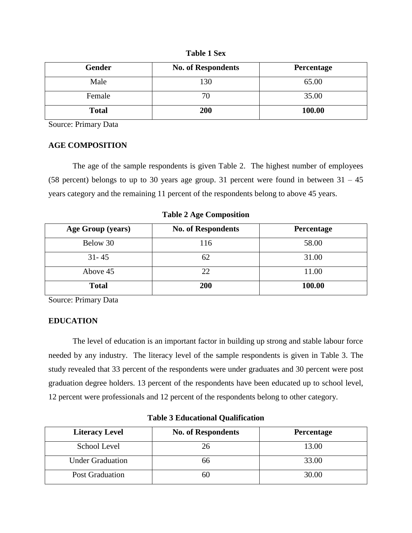| <b>Table 1 Sex</b> |  |
|--------------------|--|
|                    |  |

| Gender       | <b>No. of Respondents</b> | Percentage |
|--------------|---------------------------|------------|
| Male         | 130                       | 65.00      |
| Female       |                           | 35.00      |
| <b>Total</b> | 200                       | 100.00     |

# **AGE COMPOSITION**

The age of the sample respondents is given Table 2. The highest number of employees (58 percent) belongs to up to 30 years age group. 31 percent were found in between  $31 - 45$ years category and the remaining 11 percent of the respondents belong to above 45 years.

**Table 2 Age Composition**

| Age Group (years) | <b>No. of Respondents</b> | Percentage |
|-------------------|---------------------------|------------|
| Below 30          | 116                       | 58.00      |
| $31 - 45$         | 62                        | 31.00      |
| Above 45          | 22                        | 11.00      |
| <b>Total</b>      | 200                       | 100.00     |

Source: Primary Data

# **EDUCATION**

The level of education is an important factor in building up strong and stable labour force needed by any industry. The literacy level of the sample respondents is given in Table 3. The study revealed that 33 percent of the respondents were under graduates and 30 percent were post graduation degree holders. 13 percent of the respondents have been educated up to school level, 12 percent were professionals and 12 percent of the respondents belong to other category.

| <b>Literacy Level</b>   | <b>No. of Respondents</b> | Percentage |
|-------------------------|---------------------------|------------|
| School Level            |                           | 13.00      |
| <b>Under Graduation</b> | 66                        | 33.00      |
| <b>Post Graduation</b>  |                           | 30.00      |

**Table 3 Educational Qualification**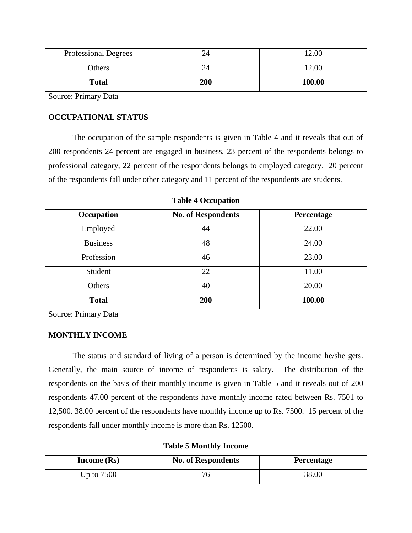| <b>Professional Degrees</b> |     | 12.00  |
|-----------------------------|-----|--------|
| Others                      |     | 12.00  |
| <b>Total</b>                | 200 | 100.00 |

# **OCCUPATIONAL STATUS**

The occupation of the sample respondents is given in Table 4 and it reveals that out of 200 respondents 24 percent are engaged in business, 23 percent of the respondents belongs to professional category, 22 percent of the respondents belongs to employed category. 20 percent of the respondents fall under other category and 11 percent of the respondents are students.

| Occupation      | <b>No. of Respondents</b> | Percentage |
|-----------------|---------------------------|------------|
| Employed        | 44                        | 22.00      |
| <b>Business</b> | 48                        | 24.00      |
| Profession      | 46                        | 23.00      |
| Student         | 22                        | 11.00      |
| Others          | 40                        | 20.00      |
| <b>Total</b>    | 200                       | 100.00     |

**Table 4 Occupation**

Source: Primary Data

# **MONTHLY INCOME**

The status and standard of living of a person is determined by the income he/she gets. Generally, the main source of income of respondents is salary. The distribution of the respondents on the basis of their monthly income is given in Table 5 and it reveals out of 200 respondents 47.00 percent of the respondents have monthly income rated between Rs. 7501 to 12,500. 38.00 percent of the respondents have monthly income up to Rs. 7500. 15 percent of the respondents fall under monthly income is more than Rs. 12500.

**Table 5 Monthly Income**

| Income $(Rs)$ | <b>No. of Respondents</b> | Percentage |
|---------------|---------------------------|------------|
| Up to $7500$  |                           | 38.00      |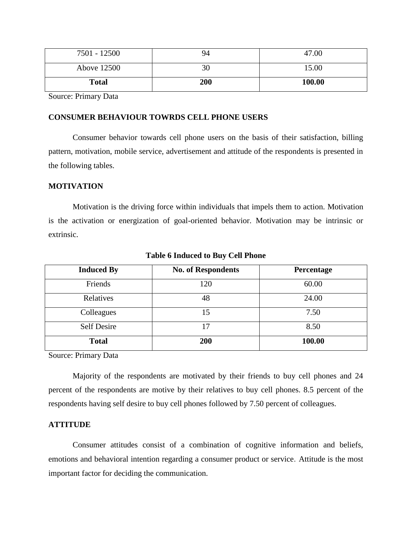| 7501 - 12500 | 94  | 47.00  |
|--------------|-----|--------|
| Above 12500  | 30  | 15.00  |
| <b>Total</b> | 200 | 100.00 |

## **CONSUMER BEHAVIOUR TOWRDS CELL PHONE USERS**

Consumer behavior towards cell phone users on the basis of their satisfaction, billing pattern, motivation, mobile service, advertisement and attitude of the respondents is presented in the following tables.

# **MOTIVATION**

Motivation is the driving force within individuals that impels them to action. Motivation is the activation or energization of goal-oriented behavior. Motivation may be intrinsic or extrinsic.

| <b>Induced By</b>  | <b>No. of Respondents</b> | Percentage |
|--------------------|---------------------------|------------|
| Friends            | 120                       | 60.00      |
| Relatives          | 48                        | 24.00      |
| Colleagues         | 15                        | 7.50       |
| <b>Self Desire</b> | 17                        | 8.50       |
| <b>Total</b>       | 200                       | 100.00     |

**Table 6 Induced to Buy Cell Phone**

Source: Primary Data

Majority of the respondents are motivated by their friends to buy cell phones and 24 percent of the respondents are motive by their relatives to buy cell phones. 8.5 percent of the respondents having self desire to buy cell phones followed by 7.50 percent of colleagues.

### **ATTITUDE**

Consumer attitudes consist of a combination of cognitive information and beliefs, emotions and behavioral intention regarding a consumer product or service. Attitude is the most important factor for deciding the communication.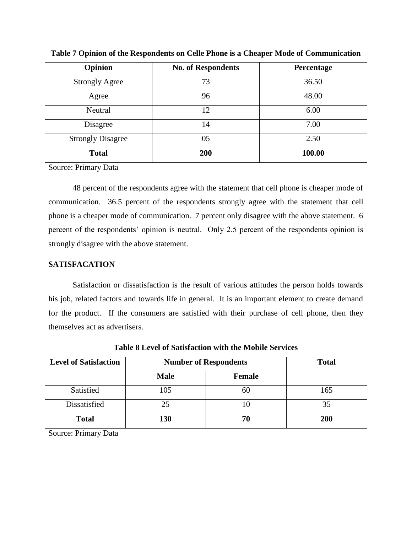| Opinion                  | <b>No. of Respondents</b> | Percentage |
|--------------------------|---------------------------|------------|
| <b>Strongly Agree</b>    | 73                        | 36.50      |
| Agree                    | 96                        | 48.00      |
| Neutral                  | 12                        | 6.00       |
| Disagree                 | 14                        | 7.00       |
| <b>Strongly Disagree</b> | 05                        | 2.50       |
| <b>Total</b>             | 200                       | 100.00     |

**Table 7 Opinion of the Respondents on Celle Phone is a Cheaper Mode of Communication**

48 percent of the respondents agree with the statement that cell phone is cheaper mode of communication. 36.5 percent of the respondents strongly agree with the statement that cell phone is a cheaper mode of communication. 7 percent only disagree with the above statement. 6 percent of the respondents' opinion is neutral. Only 2.5 percent of the respondents opinion is strongly disagree with the above statement.

# **SATISFACATION**

Satisfaction or dissatisfaction is the result of various attitudes the person holds towards his job, related factors and towards life in general. It is an important element to create demand for the product. If the consumers are satisfied with their purchase of cell phone, then they themselves act as advertisers.

| <b>Level of Satisfaction</b> | <b>Number of Respondents</b> |               | <b>Total</b> |
|------------------------------|------------------------------|---------------|--------------|
|                              | <b>Male</b>                  | <b>Female</b> |              |
| Satisfied                    | 105                          | 60            | 165          |
| Dissatisfied                 | 25                           | 10            | 35           |
| <b>Total</b>                 | 130                          | 70            | 200          |

**Table 8 Level of Satisfaction with the Mobile Services**

Source: Primary Data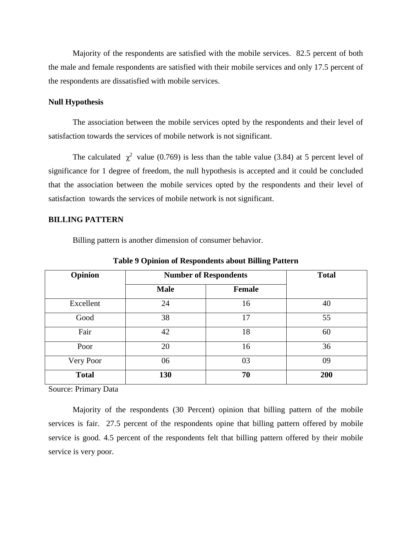Majority of the respondents are satisfied with the mobile services. 82.5 percent of both the male and female respondents are satisfied with their mobile services and only 17.5 percent of the respondents are dissatisfied with mobile services.

#### **Null Hypothesis**

The association between the mobile services opted by the respondents and their level of satisfaction towards the services of mobile network is not significant.

The calculated  $\chi^2$  value (0.769) is less than the table value (3.84) at 5 percent level of significance for 1 degree of freedom, the null hypothesis is accepted and it could be concluded that the association between the mobile services opted by the respondents and their level of satisfaction towards the services of mobile network is not significant.

### **BILLING PATTERN**

Billing pattern is another dimension of consumer behavior.

| Opinion      | <b>Number of Respondents</b> |               | <b>Total</b> |
|--------------|------------------------------|---------------|--------------|
|              | <b>Male</b>                  | <b>Female</b> |              |
| Excellent    | 24                           | 16            | 40           |
| Good         | 38                           | 17            | 55           |
| Fair         | 42                           | 18            | 60           |
| Poor         | 20                           | 16            | 36           |
| Very Poor    | 06                           | 03            | 09           |
| <b>Total</b> | 130                          | 70            | 200          |

**Table 9 Opinion of Respondents about Billing Pattern**

Source: Primary Data

Majority of the respondents (30 Percent) opinion that billing pattern of the mobile services is fair. 27.5 percent of the respondents opine that billing pattern offered by mobile service is good. 4.5 percent of the respondents felt that billing pattern offered by their mobile service is very poor.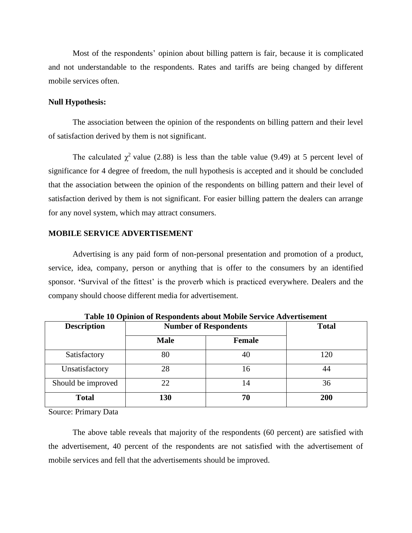Most of the respondents' opinion about billing pattern is fair, because it is complicated and not understandable to the respondents. Rates and tariffs are being changed by different mobile services often.

#### **Null Hypothesis:**

The association between the opinion of the respondents on billing pattern and their level of satisfaction derived by them is not significant.

The calculated  $\chi^2$  value (2.88) is less than the table value (9.49) at 5 percent level of significance for 4 degree of freedom, the null hypothesis is accepted and it should be concluded that the association between the opinion of the respondents on billing pattern and their level of satisfaction derived by them is not significant. For easier billing pattern the dealers can arrange for any novel system, which may attract consumers.

### **MOBILE SERVICE ADVERTISEMENT**

Advertising is any paid form of non-personal presentation and promotion of a product, service, idea, company, person or anything that is offer to the consumers by an identified sponsor. **'**Survival of the fittest' is the proverb which is practiced everywhere. Dealers and the company should choose different media for advertisement.

| <b>Description</b> | <b>Number of Respondents</b> |               | <b>Total</b> |
|--------------------|------------------------------|---------------|--------------|
|                    | <b>Male</b>                  | <b>Female</b> |              |
| Satisfactory       | 80                           | 40            | 120          |
| Unsatisfactory     | 28                           | 16            | 44           |
| Should be improved | 22                           | 14            | 36           |
| <b>Total</b>       | 130                          | 70            | 200          |

**Table 10 Opinion of Respondents about Mobile Service Advertisement**

Source: Primary Data

The above table reveals that majority of the respondents (60 percent) are satisfied with the advertisement, 40 percent of the respondents are not satisfied with the advertisement of mobile services and fell that the advertisements should be improved.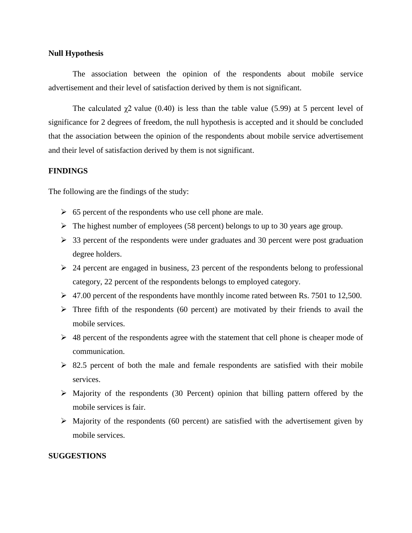### **Null Hypothesis**

The association between the opinion of the respondents about mobile service advertisement and their level of satisfaction derived by them is not significant.

The calculated  $\gamma$ 2 value (0.40) is less than the table value (5.99) at 5 percent level of significance for 2 degrees of freedom, the null hypothesis is accepted and it should be concluded that the association between the opinion of the respondents about mobile service advertisement and their level of satisfaction derived by them is not significant.

#### **FINDINGS**

The following are the findings of the study:

- $\geq 65$  percent of the respondents who use cell phone are male.
- $\triangleright$  The highest number of employees (58 percent) belongs to up to 30 years age group.
- $\geq$  33 percent of the respondents were under graduates and 30 percent were post graduation degree holders.
- $\geq$  24 percent are engaged in business, 23 percent of the respondents belong to professional category, 22 percent of the respondents belongs to employed category.
- $\triangleright$  47.00 percent of the respondents have monthly income rated between Rs. 7501 to 12,500.
- $\triangleright$  Three fifth of the respondents (60 percent) are motivated by their friends to avail the mobile services.
- $\geq$  48 percent of the respondents agree with the statement that cell phone is cheaper mode of communication.
- $\geq$  82.5 percent of both the male and female respondents are satisfied with their mobile services.
- $\triangleright$  Majority of the respondents (30 Percent) opinion that billing pattern offered by the mobile services is fair.
- $\triangleright$  Majority of the respondents (60 percent) are satisfied with the advertisement given by mobile services.

### **SUGGESTIONS**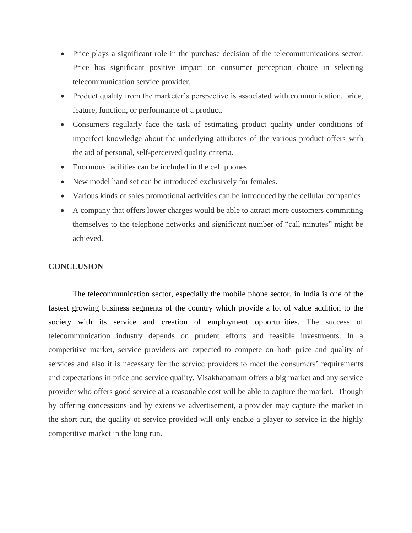- Price plays a significant role in the purchase decision of the telecommunications sector. Price has significant positive impact on consumer perception choice in selecting telecommunication service provider.
- Product quality from the marketer's perspective is associated with communication, price, feature, function, or performance of a product.
- Consumers regularly face the task of estimating product quality under conditions of imperfect knowledge about the underlying attributes of the various product offers with the aid of personal, self-perceived quality criteria.
- Enormous facilities can be included in the cell phones.
- New model hand set can be introduced exclusively for females.
- Various kinds of sales promotional activities can be introduced by the cellular companies.
- A company that offers lower charges would be able to attract more customers committing themselves to the telephone networks and significant number of "call minutes" might be achieved.

# **CONCLUSION**

The telecommunication sector, especially the mobile phone sector, in India is one of the fastest growing business segments of the country which provide a lot of value addition to the society with its service and creation of employment opportunities. The success of telecommunication industry depends on prudent efforts and feasible investments. In a competitive market, service providers are expected to compete on both price and quality of services and also it is necessary for the service providers to meet the consumers' requirements and expectations in price and service quality. Visakhapatnam offers a big market and any service provider who offers good service at a reasonable cost will be able to capture the market. Though by offering concessions and by extensive advertisement, a provider may capture the market in the short run, the quality of service provided will only enable a player to service in the highly competitive market in the long run.